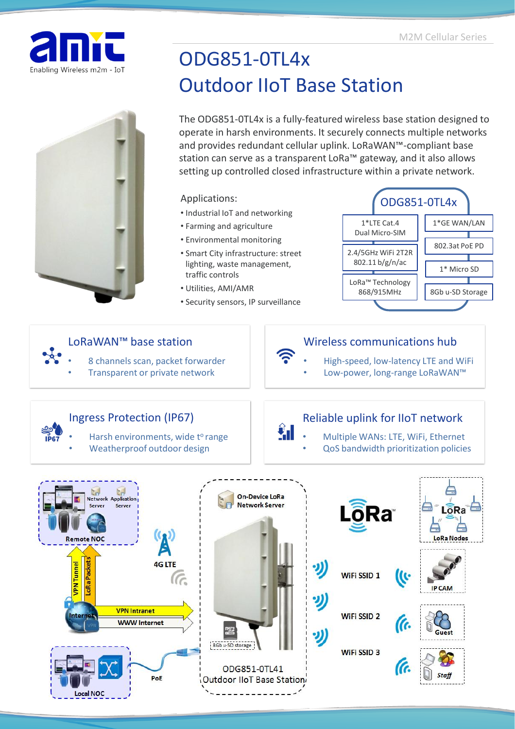



# ODG851-0TL4x Outdoor IIoT Base Station

The ODG851-0TL4x is a fully-featured wireless base station designed to operate in harsh environments. It securely connects multiple networks and provides redundant cellular uplink. LoRaWAN™-compliant base station can serve as a transparent LoRa™ gateway, and it also allows setting up controlled closed infrastructure within a private network.

### Applications:

- Industrial IoT and networking
- Farming and agriculture
- Environmental monitoring
- Smart City infrastructure: street lighting, waste management, traffic controls
- Utilities, AMI/AMR
- Security sensors, IP surveillance



## LoRaWAN™ base station

- Wireless communications hub
	- High-speed, low-latency LTE and WiFi
	- Low-power, long-range LoRaWAN™

# Ingress Protection (IP67)

Harsh environments, wide t<sup>o</sup> range

• 8 channels scan, packet forwarder • Transparent or private network

Weatherproof outdoor design

# Reliable uplink for IIoT network

- Multiple WANs: LTE, WiFi, Ethernet
- QoS bandwidth prioritization policies